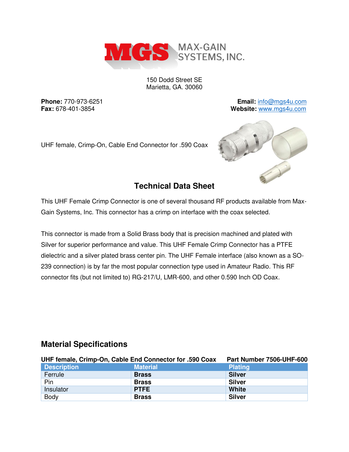

150 Dodd Street SE Marietta, GA. 30060

**Phone:** 770-973-6251 **Email:** [info@mgs4u.com](mailto:info@mgs4u.com) **Fax:** 678-401-3854 **Website:** [www.mgs4u.com](http://www.mgs4u.com/)

UHF female, Crimp-On, Cable End Connector for .590 Coax



# **Technical Data Sheet**

This UHF Female Crimp Connector is one of several thousand RF products available from Max-Gain Systems, Inc. This connector has a crimp on interface with the coax selected.

This connector is made from a Solid Brass body that is precision machined and plated with Silver for superior performance and value. This UHF Female Crimp Connector has a PTFE dielectric and a silver plated brass center pin. The UHF Female interface (also known as a SO-239 connection) is by far the most popular connection type used in Amateur Radio. This RF connector fits (but not limited to) RG-217/U, LMR-600, and other 0.590 Inch OD Coax.

## **Material Specifications**

| UHF female, Crimp-On, Cable End Connector for .590 Coax |                 | Part Number 7506-UHF-600 |
|---------------------------------------------------------|-----------------|--------------------------|
| <b>Description</b>                                      | <b>Material</b> | <b>Plating</b>           |
| Ferrule                                                 | <b>Brass</b>    | <b>Silver</b>            |
| Pin                                                     | <b>Brass</b>    | <b>Silver</b>            |
| Insulator                                               | <b>PTFE</b>     | <b>White</b>             |
| <b>Body</b>                                             | <b>Brass</b>    | <b>Silver</b>            |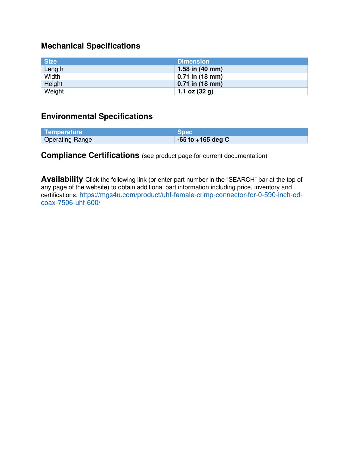# **Mechanical Specifications**

| <b>Size</b> | <b>Dimension</b>          |
|-------------|---------------------------|
| Length      | 1.58 in $(40 \text{ mm})$ |
| Width       | $0.71$ in (18 mm)         |
| Height      | $0.71$ in (18 mm)         |
| Weight      | 1.1 oz $(32 g)$           |

# **Environmental Specifications**

| Temperature            | <b>Spec</b>           |
|------------------------|-----------------------|
| <b>Operating Range</b> | $-65$ to $+165$ deg C |

# **Compliance Certifications** (see product page for current documentation)

**Availability** Click the following link (or enter part number in the "SEARCH" bar at the top of any page of the website) to obtain additional part information including price, inventory and certifications: [https://mgs4u.com/product/uhf-female-crimp-connector-for-0-590-inch-od](https://mgs4u.com/product/uhf-female-crimp-connector-for-0-590-inch-od-coax-7506-uhf-600/)[coax-7506-uhf-600/](https://mgs4u.com/product/uhf-female-crimp-connector-for-0-590-inch-od-coax-7506-uhf-600/)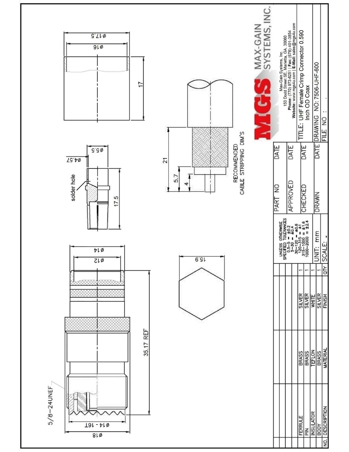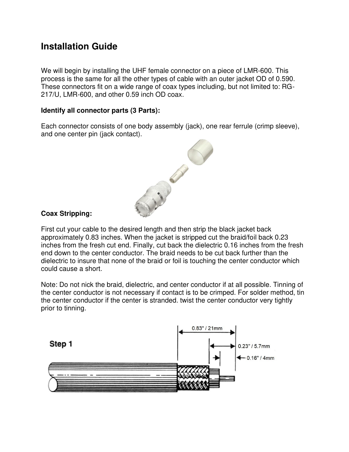# **Installation Guide**

We will begin by installing the UHF female connector on a piece of LMR-600. This process is the same for all the other types of cable with an outer jacket OD of 0.590. These connectors fit on a wide range of coax types including, but not limited to: RG-217/U, LMR-600, and other 0.59 inch OD coax.

## **Identify all connector parts (3 Parts):**

Each connector consists of one body assembly (jack), one rear ferrule (crimp sleeve), and one center pin (jack contact).



## **Coax Stripping:**

First cut your cable to the desired length and then strip the black jacket back approximately 0.83 inches. When the jacket is stripped cut the braid/foil back 0.23 inches from the fresh cut end. Finally, cut back the dielectric 0.16 inches from the fresh end down to the center conductor. The braid needs to be cut back further than the dielectric to insure that none of the braid or foil is touching the center conductor which could cause a short.

Note: Do not nick the braid, dielectric, and center conductor if at all possible. Tinning of the center conductor is not necessary if contact is to be crimped. For solder method, tin the center conductor if the center is stranded. twist the center conductor very tightly prior to tinning.

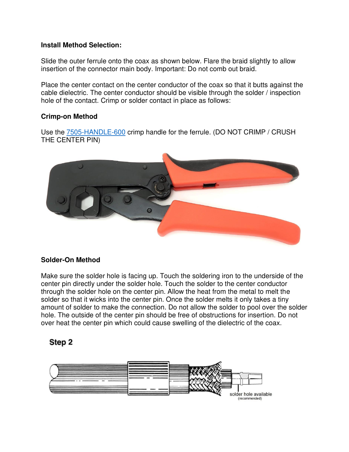#### **Install Method Selection:**

Slide the outer ferrule onto the coax as shown below. Flare the braid slightly to allow insertion of the connector main body. Important: Do not comb out braid.

Place the center contact on the center conductor of the coax so that it butts against the cable dielectric. The center conductor should be visible through the solder / inspection hole of the contact. Crimp or solder contact in place as follows:

#### **Crimp-on Method**

Use the [7505-HANDLE-600](https://mgs4u.com/product/7505-handle-600/) crimp handle for the ferrule. (DO NOT CRIMP / CRUSH THE CENTER PIN)



## **Solder-On Method**

Make sure the solder hole is facing up. Touch the soldering iron to the underside of the center pin directly under the solder hole. Touch the solder to the center conductor through the solder hole on the center pin. Allow the heat from the metal to melt the solder so that it wicks into the center pin. Once the solder melts it only takes a tiny amount of solder to make the connection. Do not allow the solder to pool over the solder hole. The outside of the center pin should be free of obstructions for insertion. Do not over heat the center pin which could cause swelling of the dielectric of the coax.

## Step 2